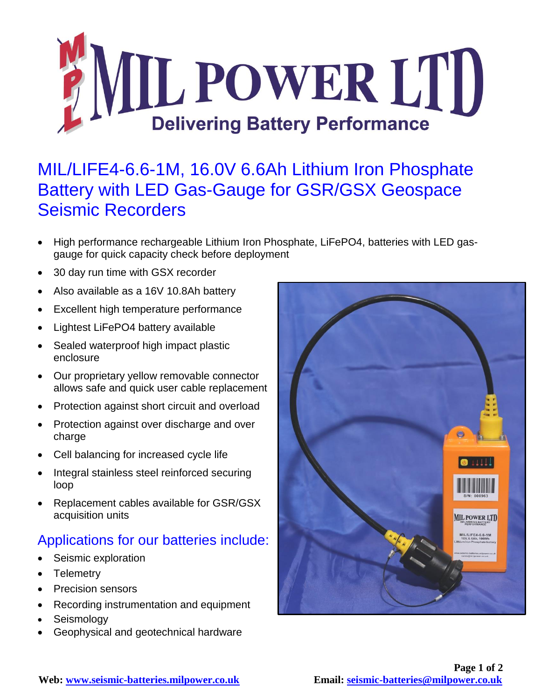

## MIL/LIFE4-6.6-1M, 16.0V 6.6Ah Lithium Iron Phosphate Battery with LED Gas-Gauge for GSR/GSX Geospace Seismic Recorders

- High performance rechargeable Lithium Iron Phosphate, LiFePO4, batteries with LED gasgauge for quick capacity check before deployment
- 30 day run time with GSX recorder
- Also available as a 16V 10.8Ah battery
- Excellent high temperature performance
- Lightest LiFePO4 battery available
- Sealed waterproof high impact plastic enclosure
- Our proprietary yellow removable connector allows safe and quick user cable replacement
- Protection against short circuit and overload
- Protection against over discharge and over charge
- Cell balancing for increased cycle life
- Integral stainless steel reinforced securing loop
- Replacement cables available for GSR/GSX acquisition units

## Applications for our batteries include:

- Seismic exploration
- Telemetry
- Precision sensors
- Recording instrumentation and equipment
- Seismology
- Geophysical and geotechnical hardware